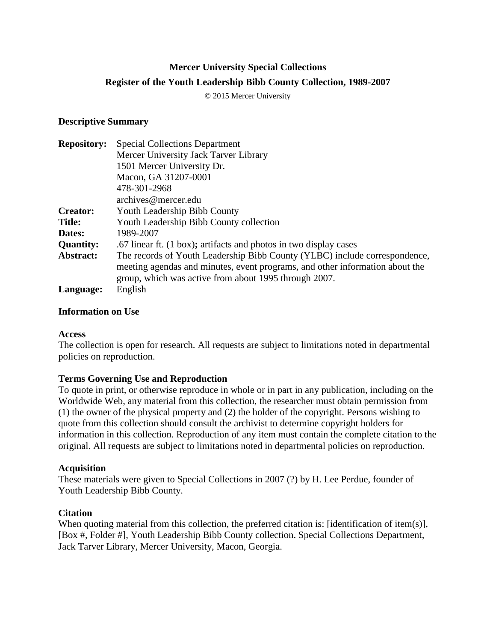# **Mercer University Special Collections Register of the Youth Leadership Bibb County Collection, 1989-2007**

© 2015 Mercer University

#### **Descriptive Summary**

| <b>Repository:</b> | <b>Special Collections Department</b>                                        |
|--------------------|------------------------------------------------------------------------------|
|                    | Mercer University Jack Tarver Library                                        |
|                    | 1501 Mercer University Dr.                                                   |
|                    | Macon, GA 31207-0001                                                         |
|                    | 478-301-2968                                                                 |
|                    | archives@mercer.edu                                                          |
| <b>Creator:</b>    | Youth Leadership Bibb County                                                 |
| <b>Title:</b>      | Youth Leadership Bibb County collection                                      |
| Dates:             | 1989-2007                                                                    |
| <b>Quantity:</b>   | .67 linear ft. (1 box); artifacts and photos in two display cases            |
| Abstract:          | The records of Youth Leadership Bibb County (YLBC) include correspondence,   |
|                    | meeting agendas and minutes, event programs, and other information about the |
|                    | group, which was active from about 1995 through 2007.                        |
| Language:          | English                                                                      |

## **Information on Use**

#### **Access**

The collection is open for research. All requests are subject to limitations noted in departmental policies on reproduction.

## **Terms Governing Use and Reproduction**

To quote in print, or otherwise reproduce in whole or in part in any publication, including on the Worldwide Web, any material from this collection, the researcher must obtain permission from (1) the owner of the physical property and (2) the holder of the copyright. Persons wishing to quote from this collection should consult the archivist to determine copyright holders for information in this collection. Reproduction of any item must contain the complete citation to the original. All requests are subject to limitations noted in departmental policies on reproduction.

## **Acquisition**

These materials were given to Special Collections in 2007 (?) by H. Lee Perdue, founder of Youth Leadership Bibb County.

## **Citation**

When quoting material from this collection, the preferred citation is: [identification of item(s)], [Box #, Folder #], Youth Leadership Bibb County collection. Special Collections Department, Jack Tarver Library, Mercer University, Macon, Georgia.